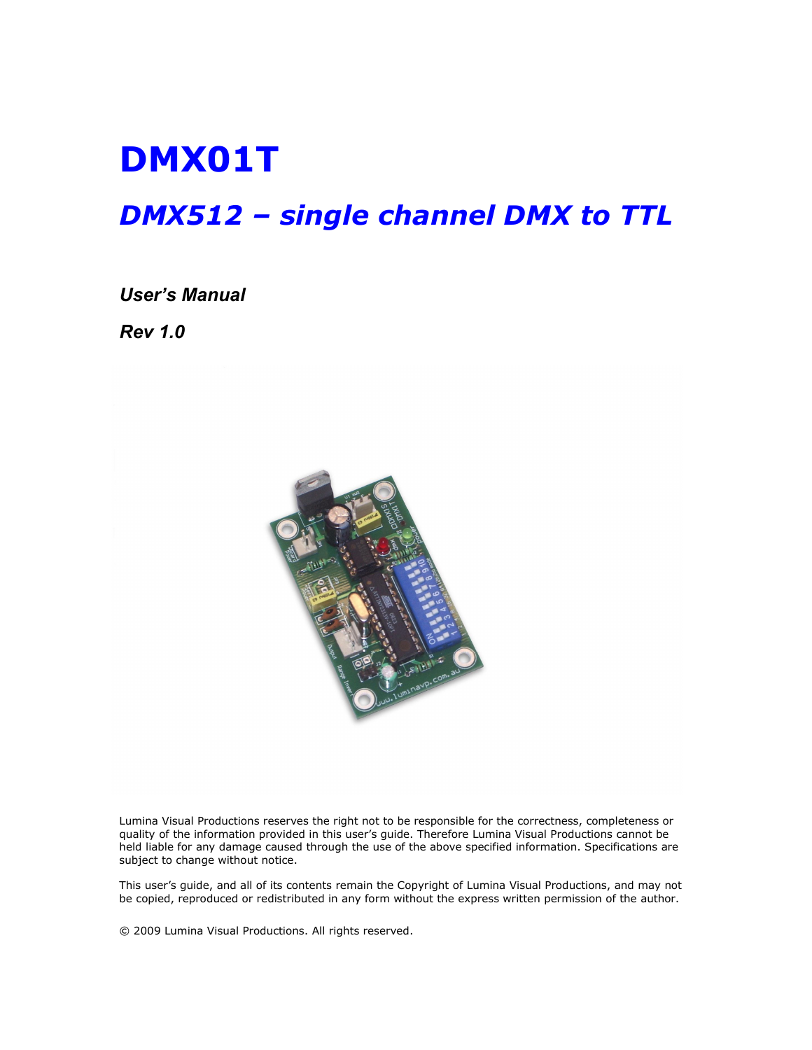# DMX01T

# DMX512 – single channel DMX to TTL

#### User's Manual

Rev 1.0



Lumina Visual Productions reserves the right not to be responsible for the correctness, completeness or quality of the information provided in this user's guide. Therefore Lumina Visual Productions cannot be held liable for any damage caused through the use of the above specified information. Specifications are subject to change without notice.

This user's guide, and all of its contents remain the Copyright of Lumina Visual Productions, and may not be copied, reproduced or redistributed in any form without the express written permission of the author.

© 2009 Lumina Visual Productions. All rights reserved.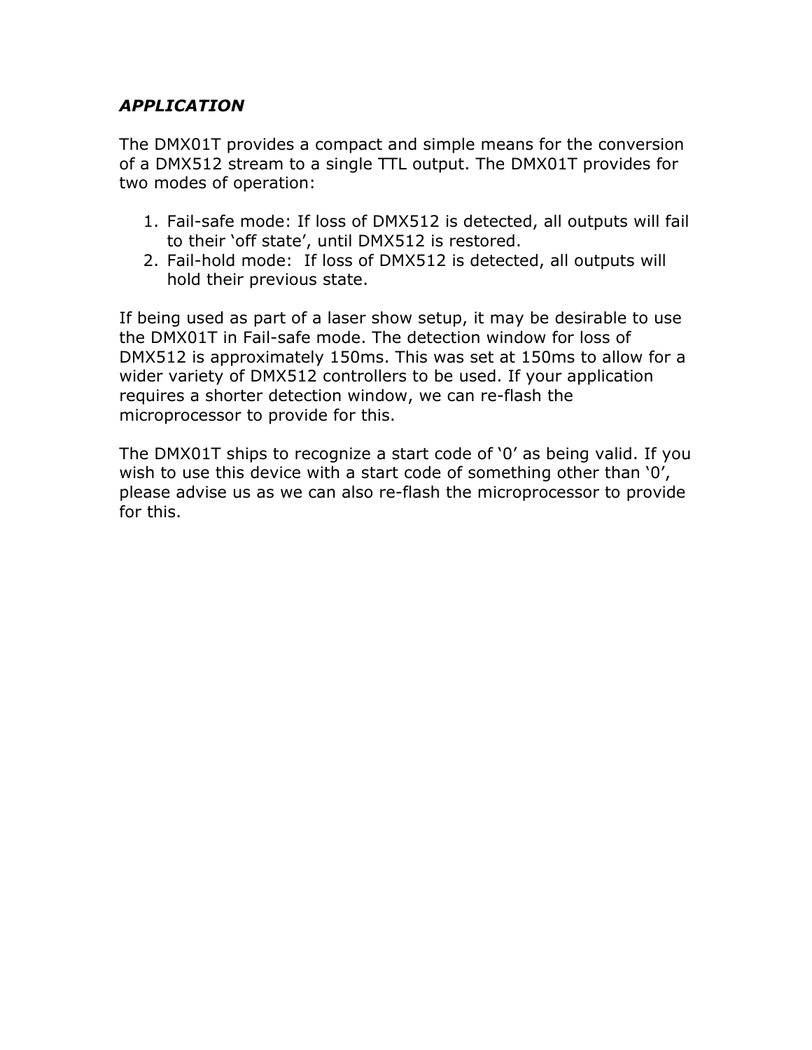#### APPLICATION

The DMX01T provides a compact and simple means for the conversion of a DMX512 stream to a single TTL output. The DMX01T provides for two modes of operation:

- 1. Fail-safe mode: If loss of DMX512 is detected, all outputs will fail to their 'off state', until DMX512 is restored.
- 2. Fail-hold mode: If loss of DMX512 is detected, all outputs will hold their previous state.

If being used as part of a laser show setup, it may be desirable to use the DMX01T in Fail-safe mode. The detection window for loss of DMX512 is approximately 150ms. This was set at 150ms to allow for a wider variety of DMX512 controllers to be used. If your application requires a shorter detection window, we can re-flash the microprocessor to provide for this.

The DMX01T ships to recognize a start code of '0' as being valid. If you wish to use this device with a start code of something other than '0', please advise us as we can also re-flash the microprocessor to provide for this.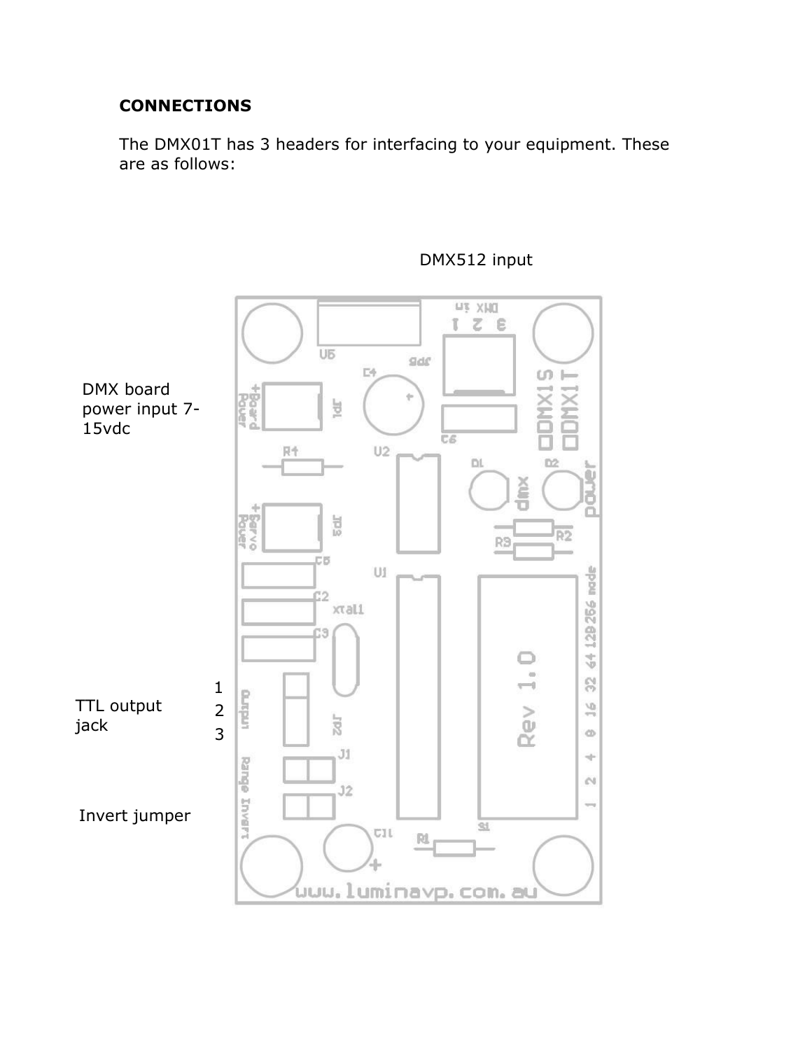### **CONNECTIONS**

The DMX01T has 3 headers for interfacing to your equipment. These are as follows:



# DMX512 input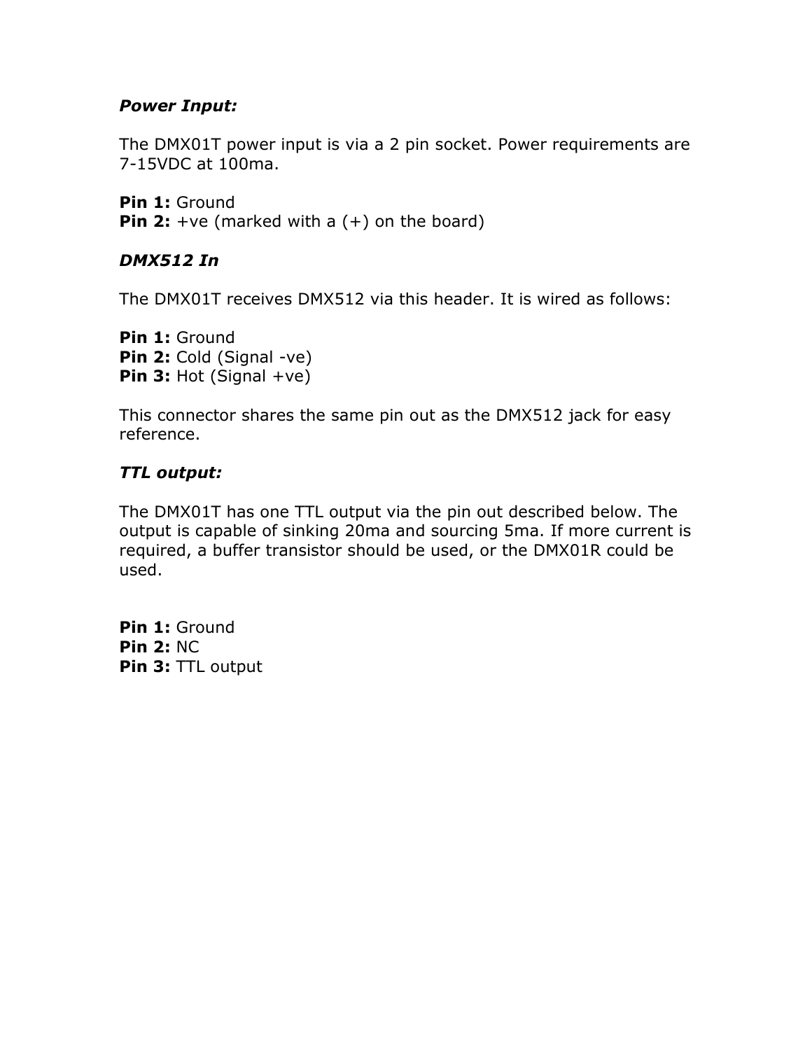#### Power Input:

The DMX01T power input is via a 2 pin socket. Power requirements are 7-15VDC at 100ma.

Pin 1: Ground **Pin 2:** +ve (marked with a  $(+)$  on the board)

#### DMX512 In

The DMX01T receives DMX512 via this header. It is wired as follows:

Pin 1: Ground Pin 2: Cold (Signal -ve) **Pin 3:** Hot (Signal  $+ve$ )

This connector shares the same pin out as the DMX512 jack for easy reference.

### TTL output:

The DMX01T has one TTL output via the pin out described below. The output is capable of sinking 20ma and sourcing 5ma. If more current is required, a buffer transistor should be used, or the DMX01R could be used.

Pin 1: Ground Pin 2: NC Pin 3: TTL output